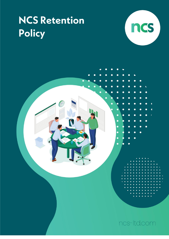# **NCS Retention** Policy



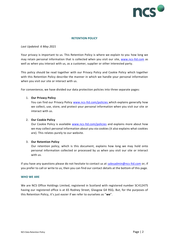

## **RETENTION POLICY**

## *Last Updated: 6 May 2021*

Your privacy is important to us. This Retention Policy is where we explain to you how long we may retain personal information that is collected when you visit our site, [www.ncs-ltd.com](http://www.ncs-ltd.com/) as well as when you interact with us, as a customer, supplier or other interested party.

This policy should be read together with our Privacy Policy and Cookie Policy which together with this Retention Policy describe the manner in which we handle your personal information when you visit our site or interact with us.

For convenience, we have divided our data protection policies into three separate pages:

## 1. **Our Privacy Policy**

You can find our Privacy Policy [www.ncs-ltd.com/policies](http://www.ncs-ltd.com/policies) which explains generally how we collect, use, store, and protect your personal information when you visit our site or interact with us.

# 2. **Our Cookie Policy**

Our Cookie Policy is available [www.ncs-ltd.com/policies](http://www.ncs-ltd.com/policies) and explains more about how we may collect personal information about you via cookies (it also explains what cookies are). This relates purely to our website.

## 3. **Our Retention Policy**

Our retention policy, which is this document, explains how long we may hold onto personal information collected or processed by us when you visit our site or interact with us.

If you have any questions please do not hesitate to contact us at [salesadmin@ncs-ltd.com](mailto:salesadmin@ncs-ltd.com) or, if you prefer to call or write to us, then you can find our contact details at the bottom of this page.

#### **WHO WE ARE**

We are NCS Office Holdings Limited, registered in Scotland with registered number SC412475 having our registered office is at 65 Rodney Street, Glasgow G4 9SQ**.** But, for the purposes of this Retention Policy, it's just easier if we refer to ourselves as "**we**".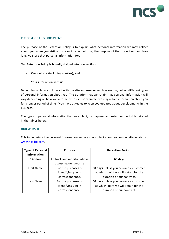

## **PURPOSE OF THIS DOCUMENT**

The purpose of the Retention Policy is to explain what personal information we may collect about you when you visit our site or interact with us, the purpose of that collection, and how long we store that personal information for.

Our Retention Policy is broadly divided into two sections:

- Our website (including cookies); and
- Your interaction with us.

Depending on how you interact with our site and use our services we may collect different types of personal information about you. The duration that we retain that personal information will vary depending on how you interact with us. For example, we may retain information about you for a longer period of time if you have asked us to keep you updated about developments in the business.

The types of personal information that we collect, its purpose, and retention period is detailed in the tables below.

#### **OUR WEBSITE**

This table details the personal information and we may collect about you on our site located at [www.ncs-ltd.com.](http://www.ncs-ltd.com/)

| <b>Type of Personal</b> | <b>Purpose</b>              | <b>Retention Period1</b>              |  |
|-------------------------|-----------------------------|---------------------------------------|--|
| <b>Information</b>      |                             |                                       |  |
| <b>IP Address</b>       | To track and monitor who is | 60 days                               |  |
|                         | accessing our website       |                                       |  |
| <b>First Name</b>       | For the purposes of         | 60 days unless you become a customer, |  |
|                         | identifying you in          | at which point we will retain for the |  |
|                         | correspondence.             | duration of our contract.             |  |
| Last Name               | For the purposes of         | 60 days unless you become a customer, |  |
|                         | identifying you in          | at which point we will retain for the |  |
|                         | correspondence.             | duration of our contract.             |  |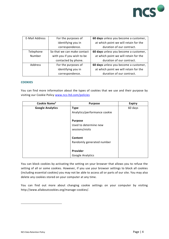

| E-Mail Address | For the purposes of                                         | 60 days unless you become a customer, |  |
|----------------|-------------------------------------------------------------|---------------------------------------|--|
|                | at which point we will retain for the<br>identifying you in |                                       |  |
|                | correspondence.                                             | duration of our contract.             |  |
| Telephone      | So that we can make contact                                 | 60 days unless you become a customer, |  |
| Number         | with you if you wish to be                                  | at which point we will retain for the |  |
|                | contacted by phone.                                         | duration of our contract.             |  |
| Address        | For the purposes of                                         | 60 days unless you become a customer, |  |
|                | identifying you in                                          | at which point we will retain for the |  |
|                | correspondence.                                             | duration of our contract.             |  |

#### **COOKIES**

You can find more information about the types of cookies that we use and their purpose by visiting our Cookie Policy [www.ncs-ltd.com/policies](http://www.ncs-ltd.com/policies)

| Cookie Name <sup>2</sup> | <b>Purpose</b>               | <b>Expiry</b> |
|--------------------------|------------------------------|---------------|
| <b>Google Analytics</b>  | <b>Type</b>                  | 60 days       |
|                          | Analytics/performance cookie |               |
|                          | <b>Purpose</b>               |               |
|                          | Used to determine new        |               |
|                          | sessions/visits              |               |
|                          | Content                      |               |
|                          | Randomly generated number    |               |
|                          | Provider                     |               |
|                          |                              |               |
|                          | Google Analytics             |               |

You can block cookies by activating the setting on your browser that allows you to refuse the setting of all or some cookies. However, if you use your browser settings to block all cookies (including essential cookies) you may not be able to access all or parts of our site. You may also delete any cookies stored on your computer at any time.

You can find out more about changing cookie settings on your computer by visiting http://www.allaboutcookies.org/manage-cookies/.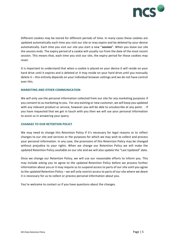

Different cookies may be stored for different periods of time. In many cases these cookies are updated automatically each time you visit our site or may expire and be deleted by your device automatically. Each time you visit our site you start a new "**session**". When you leave our site the session ends. The expiry period of a cookie will usually run from the date of the most recent session. This means that, each time you visit our site, the expiry period for those cookies may reset.

It is important to understand that when a cookie is placed on your device it will reside on your hard drive until it expires and is deleted or it may reside on your hard drive until you manually delete it – this entirely depends on your individual browser settings and we do not have control over this.

#### **MARKETING AND OTHER COMMUNICATION**

We will only use the personal information collected from our site for any marketing purposes if you consent to us marketing to you. For any existing or new customer, we will keep you updated with any relevant product or service, however you will be able to unsubscribe at any point. . If you have requested that we get in touch with you then we will use your personal information to assist us in answering your query.

## **CHANGES TO OUR RETENTION POLICY**

We may need to change this Retention Policy if it's necessary for legal reasons or to reflect changes to our site and services or the purposes for which we may wish to collect and process your personal information. In any case, the provisions of this Retention Policy may be changed without prejudice to your rights. When we change our Retention Policy we will make the updated Retention Policy available on our site and we will also update the "Last Updated" date.

Once we change our Retention Policy, we will use our reasonable efforts to inform you. This may include asking you to agree to the updated Retention Policy before we process further information about you or it may require us to suspend access to parts of our site until you agree to the updated Retention Policy – we will only restrict access to parts of our site where we deem it is necessary for us to collect or process personal information about you.

You're welcome to contact us if you have questions about the changes.